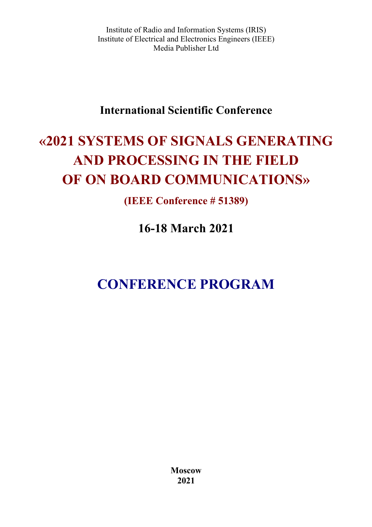Institute of Radio and Information Systems (IRIS) Institute of Electrical and Electronics Engineers (IEEE) Media Publisher Ltd

# **International Scientific Conference**

# **«2021 SYSTEMS OF SIGNALS GENERATING AND PROCESSING IN THE FIELD OF ON BOARD COMMUNICATIONS»**

**(IEEE Conference # 51389)**

**16-18 March 2021** 

# **CONFERENCE PROGRAM**

**Moscow 2021**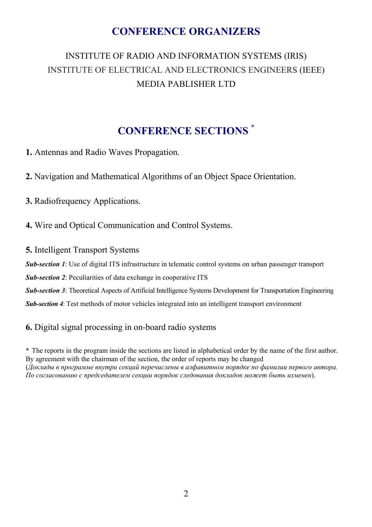# **CONFERENCE ORGANIZERS**

# INSTITUTE OF RADIO AND INFORMATION SYSTEMS (IRIS) INSTITUTE OF ELECTRICAL AND ELECTRONICS ENGINEERS (IEEE) MEDIA PABLISHER LTD

# **CONFERENCE SECTIONS \***

**1.** Antennas and Radio Waves Propagation.

**2.** Navigation and Mathematical Algorithms of an Object Space Orientation.

**3.** Radiofrequency Applications.

**4.** Wire and Optical Communication and Control Systems.

**5.** Intelligent Transport Systems

*Sub-section 1*: Use of digital ITS infrastructure in telematic control systems on urban passenger transport

*Sub-section 2*: Peculiarities of data exchange in cooperative ITS

*Sub-section 3*: Theoretical Aspects of Artificial Intelligence Systems Development for Transportation Engineering

*Sub-section 4*: Test methods of motor vehicles integrated into an intelligent transport environment

#### **6.** Digital signal processing in on-board radio systems

\* The reports in the program inside the sections are listed in alphabetical order by the name of the first author. By agreement with the chairman of the section, the order of reports may be changed (*Доклады в программе внутри секций перечислены в алфавитном порядке по фамилии первого автора. По согласованию с председателем секции порядок следования докладов может быть изменен*).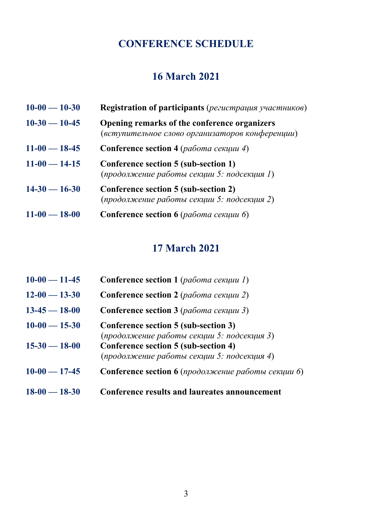# **CONFERENCE SCHEDULE**

# **16 March 2021**

| $10-00 - 10-30$ | <b>Registration of participants</b> (регистрация участников)                                    |
|-----------------|-------------------------------------------------------------------------------------------------|
| $10-30-10-45$   | Opening remarks of the conference organizers<br>(вступительное слово организаторов конференции) |
| $11-00 - 18-45$ | <b>Conference section 4</b> (работа секции 4)                                                   |
| $11-00 - 14-15$ | Conference section 5 (sub-section 1)<br>(продолжение работы секции 5: подсекция 1)              |
| $14-30-16-30$   | Conference section 5 (sub-section 2)<br>(продолжение работы секции 5: подсекция 2)              |
| $11-00 - 18-00$ | Conference section 6 ( <i>работа секции 6</i> )                                                 |

# **17 March 2021**

| $10-00 - 11-45$     | <b>Conference section 1 (работа секции 1)</b>                                      |
|---------------------|------------------------------------------------------------------------------------|
| $12 - 00 - 13 - 30$ | <b>Conference section 2</b> (работа секции 2)                                      |
| $13-45 - 18-00$     | <b>Conference section 3</b> (работа секции 3)                                      |
| $10-00 - 15-30$     | Conference section 5 (sub-section 3)<br>(продолжение работы секции 5: подсекция 3) |
| $15 - 30 - 18 - 00$ | Conference section 5 (sub-section 4)<br>(продолжение работы секции 5: подсекция 4) |
| $10-00 - 17-45$     | <b>Conference section 6</b> (продолжение работы секции 6)                          |
| $18-00 - 18-30$     | Conference results and laureates announcement                                      |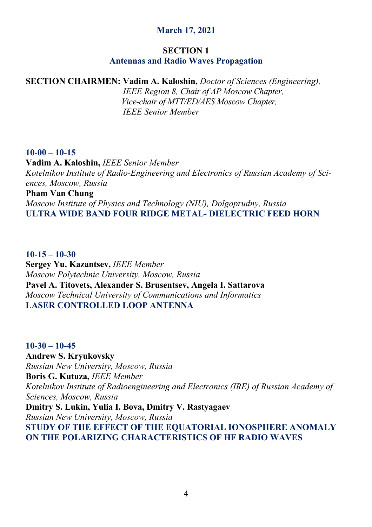# **March 17, 2021**

# **SECTION 1**

# **Antennas and Radio Waves Propagation**

# **SECTION CHAIRMEN: Vadim A. Kaloshin,** *Doctor of Sciences (Engineering),*

 *IEEE Region 8, Chair of AP Moscow Chapter, Vice-chair of MTT/ED/AES Moscow Chapter,* *IEEE Senior Member*

#### **10-00 – 10-15**

**Vadim A. Kaloshin,** *IEEE Senior Member Kotelnikov Institute of Radio-Engineering and Electronics of Russian Academy of Sciences, Moscow, Russia* 

#### **Pham Van Chung**

*Moscow Institute of Physics and Technology (NIU), Dolgoprudny, Russia*  **ULTRA WIDE BAND FOUR RIDGE METAL- DIELECTRIC FEED HORN** 

# **10-15 – 10-30 Sergey Yu. Kazantsev,** *IEEE Member Moscow Polytechnic University, Moscow, Russia*  **Pavel A. Titovets, Alexander S. Brusentsev, Angela I. Sattarova**

*Moscow Technical University of Communications and Informatics*  **LASER CONTROLLED LOOP ANTENNA** 

**10-30 – 10-45 Andrew S. Kryukovsky**  *Russian New University, Moscow, Russia*  **Boris G. Kutuza,** *IEEE Member Kotelnikov Institute of Radioengineering and Electronics (IRE) of Russian Academy of Sciences, Moscow, Russia*  **Dmitry S. Lukin, Yulia I. Bova, Dmitry V. Rastyagaev**  *Russian New University, Moscow, Russia*  **STUDY OF THE EFFECT OF THE EQUATORIAL IONOSPHERE ANOMALY ON THE POLARIZING CHARACTERISTICS OF HF RADIO WAVES**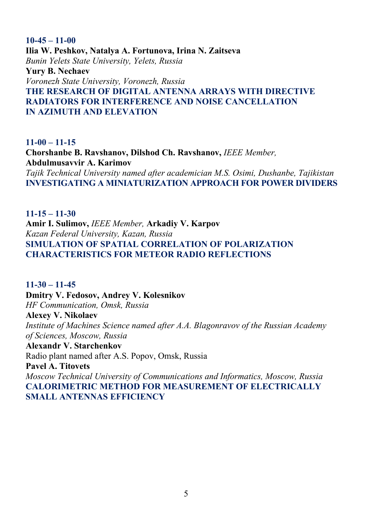**10-45 – 11-00 Ilia W. Peshkov, Natalya A. Fortunova, Irina N. Zaitseva**  *Bunin Yelets State University, Yelets, Russia*  **Yury B. Nechaev**  *Voronezh State University, Voronezh, Russia*  **THE RESEARCH OF DIGITAL ANTENNA ARRAYS WITH DIRECTIVE RADIATORS FOR INTERFERENCE AND NOISE CANCELLATION IN AZIMUTH AND ELEVATION** 

**11-00 – 11-15 Chorshanbe B. Ravshanov, Dilshod Ch. Ravshanov,** *IEEE Member,* **Abdulmusavvir A. Karimov**  *Tajik Technical University named after academician M.S. Osimi, Dushanbe, Tajikistan*  **INVESTIGATING A MINIATURIZATION APPROACH FOR POWER DIVIDERS** 

**11-15 – 11-30 Amir I. Sulimov,** *IEEE Member,* **Arkadiy V. Karpov**  *Kazan Federal University, Kazan, Russia*  **SIMULATION OF SPATIAL CORRELATION OF POLARIZATION CHARACTERISTICS FOR METEOR RADIO REFLECTIONS** 

**11-30 – 11-45 Dmitry V. Fedosov, Andrey V. Kolesnikov**  *HF Communication, Omsk, Russia*  **Alexey V. Nikolaev**  *Institute of Machines Science named after A.A. Blagonravov of the Russian Academy of Sciences, Moscow, Russia*  **Alexandr V. Starchenkov**  Radio plant named after A.S. Popov, Omsk, Russia **Pavel A. Titovets**  *Moscow Technical University of Communications and Informatics, Moscow, Russia*  **CALORIMETRIC METHOD FOR MEASUREMENT OF ELECTRICALLY SMALL ANTENNAS EFFICIENCY**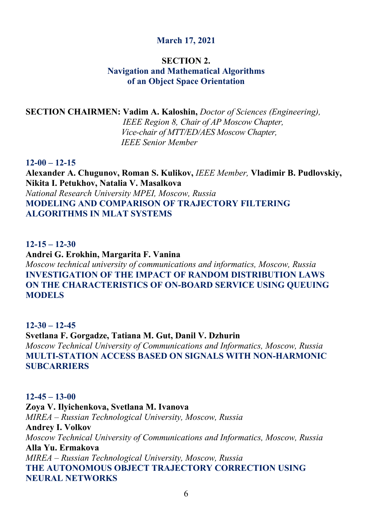# **March 17, 2021**

#### **SECTION 2. Navigation and Mathematical Algorithms of an Object Space Orientation**

#### **SECTION CHAIRMEN: Vadim A. Kaloshin,** *Doctor of Sciences (Engineering),*

 *IEEE Region 8, Chair of AP Moscow Chapter, Vice-chair of MTT/ED/AES Moscow Chapter, IEEE Senior Member*

#### **12-00 – 12-15**

**Alexander A. Chugunov, Roman S. Kulikov,** *IEEE Member,* **Vladimir B. Pudlovskiy, Nikita I. Petukhov, Natalia V. Masalkova**  *National Research University MPEI, Moscow, Russia*  **MODELING AND COMPARISON OF TRAJECTORY FILTERING ALGORITHMS IN MLAT SYSTEMS** 

#### **12-15 – 12-30**

**Andrei G. Erokhin, Margarita F. Vanina**  *Moscow technical university of communications and informatics, Moscow, Russia*  **INVESTIGATION OF THE IMPACT OF RANDOM DISTRIBUTION LAWS ON THE CHARACTERISTICS OF ON-BOARD SERVICE USING QUEUING MODELS** 

### **12-30 – 12-45 Svetlana F. Gorgadze, Tatiana M. Gut, Danil V. Dzhurin**  *Moscow Technical University of Communications and Informatics, Moscow, Russia*  **MULTI-STATION ACCESS BASED ON SIGNALS WITH NON-HARMONIC SUBCARRIERS**

# **12-45 – 13-00 Zoya V. Ilyichenkova, Svetlana M. Ivanova**  *MIREA – Russian Technological University, Moscow, Russia*  **Andrey I. Volkov**  *Moscow Technical University of Communications and Informatics, Moscow, Russia* **Alla Yu. Ermakova**  *MIREA – Russian Technological University, Moscow, Russia*  **THE AUTONOMOUS OBJECT TRAJECTORY CORRECTION USING NEURAL NETWORKS**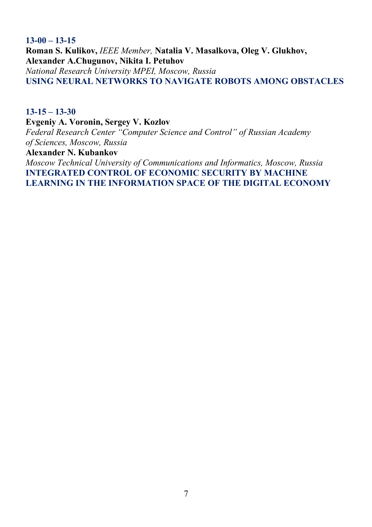**13-00 – 13-15 Roman S. Kulikov,** *IEEE Member,* **Natalia V. Masalkova, Oleg V. Glukhov, Alexander A.Chugunov, Nikita I. Petuhov**  *National Research University MPEI, Moscow, Russia*  **USING NEURAL NETWORKS TO NAVIGATE ROBOTS AMONG OBSTACLES** 

#### **13-15 – 13-30**

**Evgeniy A. Voronin, Sergey V. Kozlov**  *Federal Research Center "Computer Science and Control" of Russian Academy* 

*of Sciences, Moscow, Russia* 

**Alexander N. Kubankov** 

*Moscow Technical University of Communications and Informatics, Moscow, Russia*  **INTEGRATED CONTROL OF ECONOMIC SECURITY BY MACHINE LEARNING IN THE INFORMATION SPACE OF THE DIGITAL ECONOMY**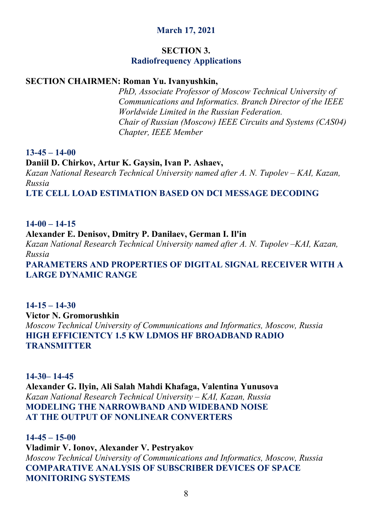# **March 17, 2021**

# **SECTION 3.**

# **Radiofrequency Applications**

# **SECTION CHAIRMEN: Roman Yu. Ivanyushkin,**

 *PhD, Associate Professor of Moscow Technical University of Сommunications and Informatics. Branch Director of the IEEE Worldwide Limited in the Russian Federation. Chair of Russian (Moscow) IEEE Circuits and Systems (CAS04) Chapter, IEEE Member* 

#### **13-45 – 14-00**

#### **Daniil D. Chirkov, Artur K. Gaysin, Ivan P. Ashaev,**

*Kazan National Research Technical University named after A. N. Tupolev – KAI, Kazan, Russia* 

**LTE CELL LOAD ESTIMATION BASED ON DCI MESSAGE DECODING** 

# **14-00 – 14-15**

# **Alexander E. Denisov, Dmitry P. Danilaev, German I. Il'in**

*Kazan National Research Technical University named after A. N. Tupolev –KAI, Kazan, Russia* 

**PARAMETERS AND PROPERTIES OF DIGITAL SIGNAL RECEIVER WITH A LARGE DYNAMIC RANGE** 

# **14-15 – 14-30 Victor N. Gromorushkin**  *Moscow Technical University of Communications and Informatics, Moscow, Russia*  **HIGH EFFICIENTCY 1.5 KW LDMOS HF BROADBAND RADIO TRANSMITTER**

**14-30– 14-45 Alexander G. Ilyin, Ali Salah Mahdi Khafaga, Valentina Yunusova**  *Kazan National Research Technical University – KAI, Kazan, Russia*  **MODELING THE NARROWBAND AND WIDEBAND NOISE AT THE OUTPUT OF NONLINEAR CONVERTERS** 

**14-45 – 15-00 Vladimir V. Ionov, Alexander V. Pestryakov**  *Moscow Technical University of Communications and Informatics, Moscow, Russia*  **COMPARATIVE ANALYSIS OF SUBSCRIBER DEVICES OF SPACE MONITORING SYSTEMS**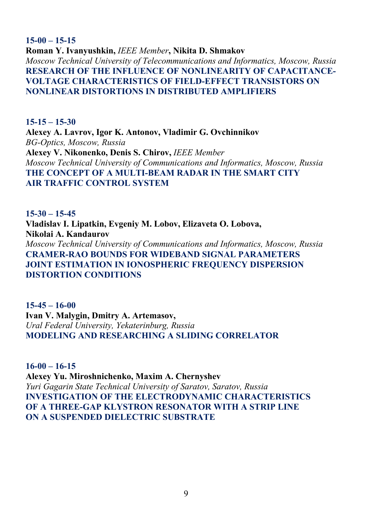# **15-00 – 15-15 Roman Y. Ivanyushkin,** *IEEE Member***, Nikita D. Shmakov**  *Moscow Technical University of Telecommunications and Informatics, Moscow, Russia*  **RESEARCH OF THE INFLUENCE OF NONLINEARITY OF CAPACITANCE-VOLTAGE CHARACTERISTICS OF FIELD-EFFECT TRANSISTORS ON NONLINEAR DISTORTIONS IN DISTRIBUTED AMPLIFIERS**

**15-15 – 15-30 Alexey A. Lavrov, Igor K. Antonov, Vladimir G. Ovchinnikov**  *BG-Оptics, Moscow, Russia*  **Alexey V. Nikonenko, Denis S. Chirov,** *IEEE Member Moscow Technical University of Communications and Informatics, Moscow, Russia* **THE CONCEPT OF A MULTI-BEAM RADAR IN THE SMART CITY AIR TRAFFIC CONTROL SYSTEM** 

**15-30 – 15-45 Vladislav I. Lipatkin, Evgeniy M. Lobov, Elizaveta O. Lobova, Nikolai A. Kandaurov**  *Moscow Technical University of Communications and Informatics, Moscow, Russia*  **CRAMER-RAO BOUNDS FOR WIDEBAND SIGNAL PARAMETERS JOINT ESTIMATION IN IONOSPHERIC FREQUENCY DISPERSION DISTORTION CONDITIONS** 

**15-45 – 16-00 Ivan V. Malygin, Dmitry A. Artemasov,**  *Ural Federal University, Yekaterinburg, Russia*  **MODELING AND RESEARCHING A SLIDING CORRELATOR** 

**16-00 – 16-15 Alexey Yu. Miroshnichenko, Maxim A. Chernyshev**  *Yuri Gagarin State Technical University of Saratov, Saratov, Russia*  **INVESTIGATION OF THE ELECTRODYNAMIC CHARACTERISTICS OF A THREE-GAP KLYSTRON RESONATOR WITH A STRIP LINE ON A SUSPENDED DIELECTRIC SUBSTRATE**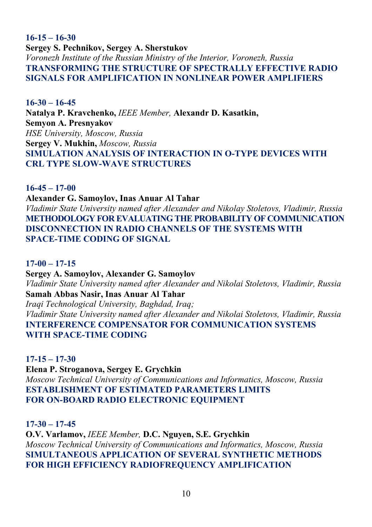**16-15 – 16-30 Sergey S. Pechnikov, Sergey A. Sherstukov**  *Voronezh Institute of the Russian Ministry of the Interior, Voronezh, Russia*  **TRANSFORMING THE STRUCTURE OF SPECTRALLY EFFECTIVE RADIO SIGNALS FOR AMPLIFICATION IN NONLINEAR POWER AMPLIFIERS** 

**16-30 – 16-45 Natalya P. Kravchenko,** *IEEE Member,* **Alexandr D. Kasatkin, Semyon A. Presnyakov**  *HSE University, Moscow, Russia*  **Sergey V. Mukhin,** *Moscow, Russia*  **SIMULATION ANALYSIS OF INTERACTION IN O-TYPE DEVICES WITH CRL TYPE SLOW-WAVE STRUCTURES** 

**16-45 – 17-00 Alexander G. Samoylov, Inas Anuar Al Tahar**  *Vladimir State University named after Alexander and Nikolay Stoletovs, Vladimir, Russia*  **METHODOLOGY FOR EVALUATING THE PROBABILITY OF COMMUNICATION DISCONNECTION IN RADIO CHANNELS OF THE SYSTEMS WITH SPACE-TIME CODING OF SIGNAL** 

**17-00 – 17-15**

**Sergey A. Samoylov, Alexander G. Samoylov**  *Vladimir State University named after Alexander and Nikolai Stoletovs, Vladimir, Russia*  **Samah Abbas Nasir, Inas Anuar Al Tahar**  *Iraqi Technological University, Baghdad, Iraq; Vladimir State University named after Alexander and Nikolai Stoletovs, Vladimir, Russia*  **INTERFERENCE COMPENSATOR FOR COMMUNICATION SYSTEMS WITH SPACE-TIME CODING** 

**17-15 – 17-30**

**Elena P. Stroganova, Sergey E. Grychkin**  *Moscow Technical University of Communications and Informatics, Moscow, Russia*  **ESTABLISHMENT OF ESTIMATED PARAMETERS LIMITS FOR ON-BOARD RADIO ELECTRONIC EQUIPMENT** 

**17-30 – 17-45**

**O.V. Varlamov,** *IEEE Member,* **D.C. Nguyen, S.E. Grychkin**  *Moscow Technical University of Communications and Informatics, Moscow, Russia*  **SIMULTANEOUS APPLICATION OF SEVERAL SYNTHETIC METHODS FOR HIGH EFFICIENCY RADIOFREQUENCY AMPLIFICATION**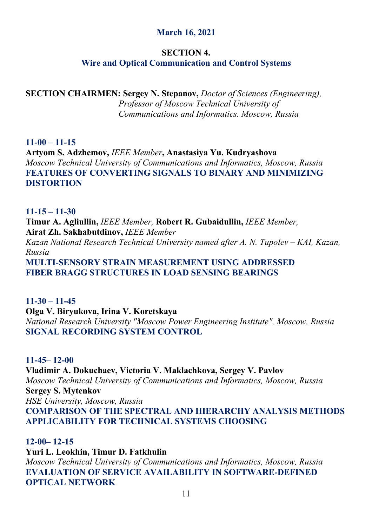# **March 16, 2021**

# **SECTION 4.**

# **Wire and Optical Communication and Control Systems**

**SECTION CHAIRMEN: Sergey N. Stepanov,** *Doctor of Sciences (Engineering), Professor of Moscow Technical University of Сommunications and Informatics. Moscow, Russia* 

# **11-00 – 11-15**

**Artyom S. Adzhemov,** *IEEE Member***, Anastasiya Yu. Kudryashova**  *Moscow Technical University of Communications and Informatics, Moscow, Russia*  **FEATURES OF CONVERTING SIGNALS TO BINARY AND MINIMIZING DISTORTION** 

#### **11-15 – 11-30**

**Timur A. Agliullin,** *IEEE Member,* **Robert R. Gubaidullin,** *IEEE Member,* **Airat Zh. Sakhabutdinov,** *IEEE Member*

*Kazan National Research Technical University named after A. N. Tupolev – KAI, Kazan, Russia* 

**MULTI-SENSORY STRAIN MEASUREMENT USING ADDRESSED FIBER BRAGG STRUCTURES IN LOAD SENSING BEARINGS** 

#### **11-30 – 11-45**

**Olga V. Biryukova, Irina V. Koretskaya**  *National Research University "Moscow Power Engineering Institute", Moscow, Russia*  **SIGNAL RECORDING SYSTEM CONTROL** 

# **11-45– 12-00**

**Vladimir A. Dokuchaev, Victoria V. Maklachkova, Sergey V. Pavlov**  *Moscow Technical University of Communications and Informatics, Moscow, Russia*  **Sergey S. Mytenkov**  *HSE University, Moscow, Russia*  **COMPARISON OF THE SPECTRAL AND HIERARCHY ANALYSIS METHODS APPLICABILITY FOR TECHNICAL SYSTEMS CHOOSING** 

**12-00– 12-15 Yuri L. Leokhin, Timur D. Fatkhulin**  *Moscow Technical University of Communications and Informatics, Moscow, Russia*  **EVALUATION OF SERVICE AVAILABILITY IN SOFTWARE-DEFINED OPTICAL NETWORK**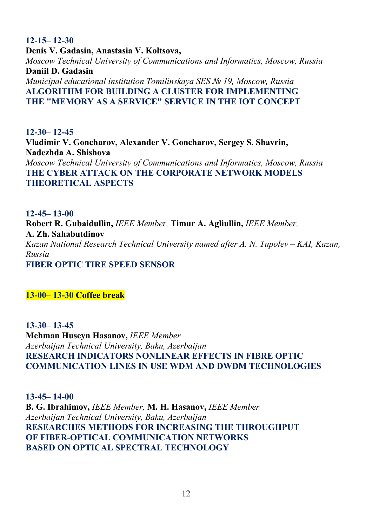**12-15– 12-30 Denis V. Gadasin, Anastasia V. Koltsova,**  *Moscow Technical University of Communications and Informatics, Moscow, Russia*  **Daniil D. Gadasin**  *Municipal educational institution Tomilinskaya SES № 19, Moscow, Russia*  **ALGORITHM FOR BUILDING A CLUSTER FOR IMPLEMENTING THE "MEMORY AS A SERVICE" SERVICE IN THE IOT CONCEPT** 

**12-30– 12-45 Vladimir V. Goncharov, Alexander V. Goncharov, Sergey S. Shavrin, Nadezhda A. Shishova**  *Moscow Technical University of Communications and Informatics, Moscow, Russia*  **THE CYBER ATTACK ON THE CORPORATE NETWORK MODELS THEORETICAL ASPECTS** 

**12-45– 13-00 Robert R. Gubaidullin,** *IEEE Member,* **Timur A. Agliullin,** *IEEE Member,* **A. Zh. Sahabutdinov**  *Kazan National Research Technical University named after A. N. Tupolev – KAI, Kazan, Russia* **FIBER OPTIC TIRE SPEED SENSOR** 

**13-00– 13-30 Coffee break**

**13-30– 13-45 Mehman Huseyn Hasanov,** *IEEE Member Azerbaijan Technical University, Baku, Azerbaijan*  **RESEARCH INDICATORS NONLINEAR EFFECTS IN FIBRE OPTIC COMMUNICATION LINES IN USE WDM AND DWDM TECHNOLOGIES** 

**13-45– 14-00 B. G. Ibrahimov,** *IEEE Member,* **M. H. Hasanov,** *IEEE Member Azerbaijan Technical University, Baku, Azerbaijan*  **RESEARCHES METHODS FOR INCREASING THE THROUGHPUT OF FIBER-OPTICAL COMMUNICATION NETWORKS BASED ON OPTICAL SPECTRAL TECHNOLOGY**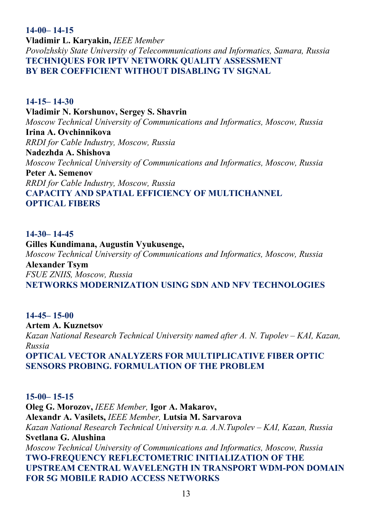**14-00– 14-15 Vladimir L. Karyakin,** *IEEE Member Povolzhskiy State University of Telecommunications and Informatics, Samara, Russia*  **TECHNIQUES FOR IPTV NETWORK QUALITY ASSESSMENT BY BER COEFFICIENT WITHOUT DISABLING TV SIGNAL** 

**14-15– 14-30 Vladimir N. Korshunov, Sergey S. Shavrin**  *Moscow Technical University of Communications and Informatics, Moscow, Russia*  **Irina A. Ovchinnikova**  *RRDI for Cable Industry, Moscow, Russia*  **Nadezhda A. Shishova**  *Moscow Technical University of Communications and Informatics, Moscow, Russia*  **Peter A. Semenov**  *RRDI for Cable Industry, Moscow, Russia*  **CAPACITY AND SPATIAL EFFICIENCY OF MULTICHANNEL OPTICAL FIBERS** 

#### **14-30– 14-45**

**Gilles Kundimana, Augustin Vyukusenge,**  *Moscow Technical University of Communications and Informatics, Moscow, Russia*  **Alexander Tsym**  *FSUE ZNIIS, Moscow, Russia*  **NETWORKS MODERNIZATION USING SDN AND NFV TECHNOLOGIES** 

**14-45– 15-00 Artem A. Kuznetsov**  *Kazan National Research Technical University named after A. N. Tupolev – KAI, Kazan, Russia*  **OPTICAL VECTOR ANALYZERS FOR MULTIPLICATIVE FIBER OPTIC SENSORS PROBING. FORMULATION OF THE PROBLEM** 

**15-00– 15-15 Oleg G. Morozov,** *IEEE Member,* **Igor A. Makarov, Alexandr A. Vasilets,** *IEEE Member,* **Lutsia M. Sarvarova**  *Kazan National Research Technical University n.a. A.N.Tupolev – KAI, Kazan, Russia*  **Svetlana G. Alushina**  *Moscow Technical University of Communications and Informatics, Moscow, Russia* **TWO-FREQUENCY REFLECTOMETRIC INITIALIZATION OF THE UPSTREAM CENTRAL WAVELENGTH IN TRANSPORT WDM-PON DOMAIN FOR 5G MOBILE RADIO ACCESS NETWORKS**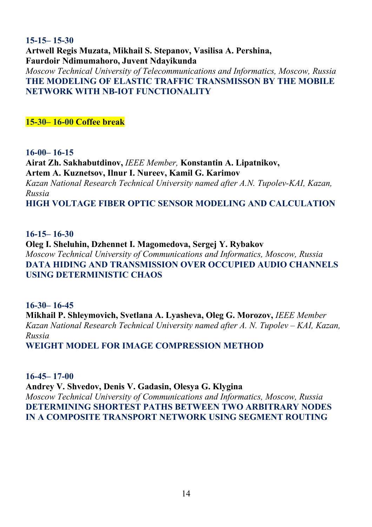# **15-15– 15-30 Artwell Regis Muzata, Mikhail S. Stepanov, Vasilisa A. Pershina, Faurdoir Ndimumahoro, Juvent Ndayikunda**

*Moscow Technical University of Telecommunications and Informatics, Moscow, Russia*  **THE MODELING OF ELASTIC TRAFFIC TRANSMISSON BY THE MOBILE NETWORK WITH NB-IOT FUNCTIONALITY** 

**15-30– 16-00 Coffee break**

**16-00– 16-15**

**Airat Zh. Sakhabutdinov,** *IEEE Member,* **Konstantin A. Lipatnikov, Artem A. Kuznetsov, Ilnur I. Nureev, Kamil G. Karimov**  *Kazan National Research Technical University named after A.N. Tupolev-KAI, Kazan, Russia*  **HIGH VOLTAGE FIBER OPTIC SENSOR MODELING AND CALCULATION** 

**16-15– 16-30**

**Oleg I. Sheluhin, Dzhennet I. Magomedova, Sergej Y. Rybakov**  *Moscow Technical University of Communications and Informatics, Moscow, Russia*  **DATA HIDING AND TRANSMISSION OVER OCCUPIED AUDIO CHANNELS USING DETERMINISTIC CHAOS** 

**16-30– 16-45**

**Mikhail P. Shleymovich, Svetlana A. Lyasheva, Oleg G. Morozov,** *IEEE Member Kazan National Research Technical University named after A. N. Tupolev – KAI, Kazan, Russia* 

**WEIGHT MODEL FOR IMAGE COMPRESSION METHOD** 

**16-45– 17-00**

**Andrey V. Shvedov, Denis V. Gadasin, Olesya G. Klygina** 

*Moscow Technical University of Communications and Informatics, Moscow, Russia*  **DETERMINING SHORTEST PATHS BETWEEN TWO ARBITRARY NODES IN A COMPOSITE TRANSPORT NETWORK USING SEGMENT ROUTING**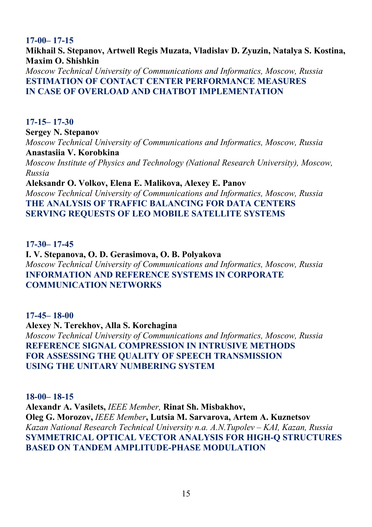# **17-00– 17-15**

**Mikhail S. Stepanov, Artwell Regis Muzata, Vladislav D. Zyuzin, Natalya S. Kostina, Maxim O. Shishkin** 

*Moscow Technical University of Communications and Informatics, Moscow, Russia*  **ESTIMATION OF CONTACT CENTER PERFORMANCE MEASURES IN CASE OF OVERLOAD AND CHATBOT IMPLEMENTATION** 

# **17-15– 17-30**

**Sergey N. Stepanov**  *Moscow Technical University of Communications and Informatics, Moscow, Russia*  **Anastasiia V. Korobkina** 

*Moscow Institute of Physics and Technology (National Research University), Moscow, Russia* 

**Aleksandr O. Volkov, Elena E. Malikova, Alexey E. Panov**  *Moscow Technical University of Communications and Informatics, Moscow, Russia*  **THE ANALYSIS OF TRAFFIC BALANCING FOR DATA CENTERS SERVING REQUESTS OF LEO MOBILE SATELLITE SYSTEMS**

# **17-30– 17-45**

**I. V. Stepanova, O. D. Gerasimova, O. B. Polyakova**  *Moscow Technical University of Communications and Informatics, Moscow, Russia*  **INFORMATION AND REFERENCE SYSTEMS IN CORPORATE COMMUNICATION NETWORKS** 

# **17-45– 18-00**

**Alexey N. Terekhov, Alla S. Korchagina**  *Moscow Technical University of Communications and Informatics, Moscow, Russia*  **REFERENCE SIGNAL COMPRESSION IN INTRUSIVE METHODS FOR ASSESSING THE QUALITY OF SPEECH TRANSMISSION USING THE UNITARY NUMBERING SYSTEM** 

# **18-00– 18-15 Alexandr A. Vasilets,** *IEEE Member,* **Rinat Sh. Misbakhov, Oleg G. Morozov,** *IEEE Member***, Lutsia M. Sarvarova, Artem A. Kuznetsov**  *Kazan National Research Technical University n.a. A.N.Tupolev – KAI, Kazan, Russia* **SYMMETRICAL OPTICAL VECTOR ANALYSIS FOR HIGH-Q STRUCTURES BASED ON TANDEM AMPLITUDE-PHASE MODULATION**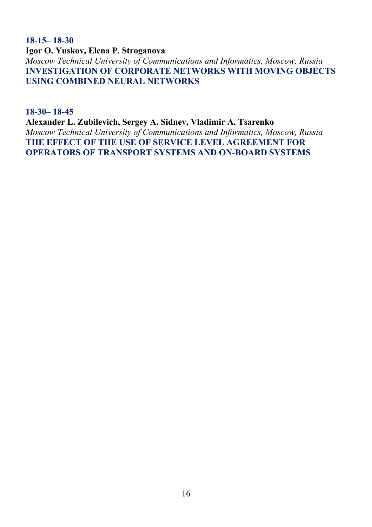**18-15– 18-30 Igor O. Yuskov, Elena P. Stroganova** 

*Moscow Technical University of Communications and Informatics, Moscow, Russia*  **INVESTIGATION OF CORPORATE NETWORKS WITH MOVING OBJECTS USING COMBINED NEURAL NETWORKS** 

**18-30– 18-45**

**Alexander L. Zubilevich, Sergey A. Sidnev, Vladimir A. Tsarenko**  *Moscow Technical University of Communications and Informatics, Moscow, Russia*  **THE EFFECT OF THE USE OF SERVICE LEVEL AGREEMENT FOR OPERATORS OF TRANSPORT SYSTEMS AND ON-BOARD SYSTEMS**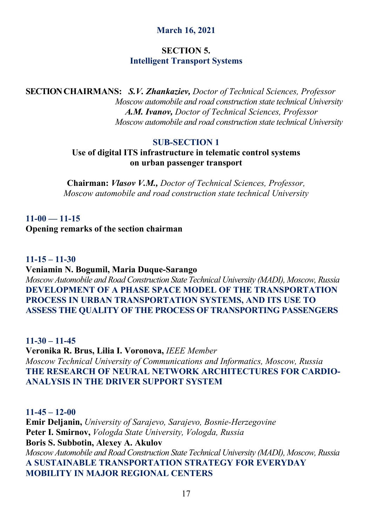# **March 16, 2021**

# **SECTION 5. Intelligent Transport Systems**

**SECTION CHAIRMANS:** *S.V. Zhankaziev, Doctor of Technical Sciences, Professor Moscow automobile and road construction state technical University A.M. Ivanov, Doctor of Technical Sciences, Professor Moscow automobile and road construction state technical University*

#### **SUB-SECTION 1**

### **Use of digital ITS infrastructure in telematic control systems on urban passenger transport**

**Chairman:** *Vlasov V.M., Doctor of Technical Sciences, Professor, Moscow automobile and road construction state technical University* 

# **11-00 — 11-15 Opening remarks of the section chairman**

#### **11-15 – 11-30**

**Veniamin N. Bogumil, Maria Duque-Sarango** 

*Moscow Automobile and Road Construction State Technical University (MADI), Moscow, Russia*  **DEVELOPMENT OF A PHASE SPACE MODEL OF THE TRANSPORTATION PROCESS IN URBAN TRANSPORTATION SYSTEMS, AND ITS USE TO ASSESS THE QUALITY OF THE PROCESS OF TRANSPORTING PASSENGERS** 

**11-30 – 11-45 Veronika R. Brus, Lilia I. Voronova,** *IEEE Member Moscow Technical University of Communications and Informatics, Moscow, Russia*  **THE RESEARCH OF NEURAL NETWORK ARCHITECTURES FOR CARDIO-ANALYSIS IN THE DRIVER SUPPORT SYSTEM** 

#### **11-45 – 12-00**

**Emir Deljanin,** *University of Sarajevo, Sarajevo, Bosnie-Herzegovine*  **Peter I. Smirnov,** *Vologda State University, Vologda, Russia*  **Boris S. Subbotin, Alexey A. Akulov**  *Moscow Automobile and Road Construction State Technical University (MADI), Moscow, Russia*  **A SUSTAINABLE TRANSPORTATION STRATEGY FOR EVERYDAY MOBILITY IN MAJOR REGIONAL CENTERS**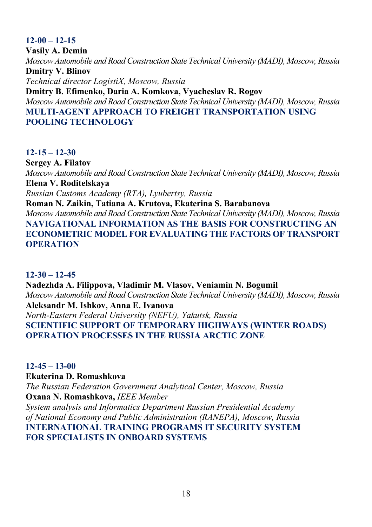# **12-00 – 12-15**

**Vasily A. Demin**  *Moscow Automobile and Road Construction State Technical University (MADI), Moscow, Russia*  **Dmitry V. Blinov**  *Technical director LogistiX, Moscow, Russia*  **Dmitry B. Efimenko, Daria A. Komkova, Vyacheslav R. Rogov** 

*Moscow Automobile and Road Construction State Technical University (MADI), Moscow, Russia*  **MULTI-AGENT APPROACH TO FREIGHT TRANSPORTATION USING POOLING TECHNOLOGY** 

#### **12-15 – 12-30**

**Sergey A. Filatov**  *Moscow Automobile and Road Construction State Technical University (MADI), Moscow, Russia*  **Elena V. Roditelskaya** 

*Russian Customs Academy (RTA), Lyubertsy, Russia* 

**Roman N. Zaikin, Tatiana A. Krutova, Ekaterina S. Barabanova** 

*Moscow Automobile and Road Construction State Technical University (MADI), Moscow, Russia*  **NAVIGATIONAL INFORMATION AS THE BASIS FOR CONSTRUCTING AN ECONOMETRIC MODEL FOR EVALUATING THE FACTORS OF TRANSPORT OPERATION** 

#### **12-30 – 12-45**

**Nadezhda A. Filippova, Vladimir M. Vlasov, Veniamin N. Bogumil**  *Moscow Automobile and Road Construction State Technical University (MADI), Moscow, Russia*  **Aleksandr M. Ishkov, Anna E. Ivanova**  *North-Eastern Federal University (NEFU), Yakutsk, Russia*  **SCIENTIFIC SUPPORT OF TEMPORARY HIGHWAYS (WINTER ROADS) OPERATION PROCESSES IN THE RUSSIA ARCTIC ZONE** 

# **12-45 – 13-00**

#### **Ekaterina D. Romashkova**

*The Russian Federation Government Analytical Center, Moscow, Russia*  **Oxana N. Romashkova,** *IEEE Member*

*System analysis and Informatics Department Russian Presidential Academy of National Economy and Public Administration (RANEPA), Moscow, Russia*  **INTERNATIONAL TRAINING PROGRAMS IT SECURITY SYSTEM FOR SPECIALISTS IN ONBOARD SYSTEMS**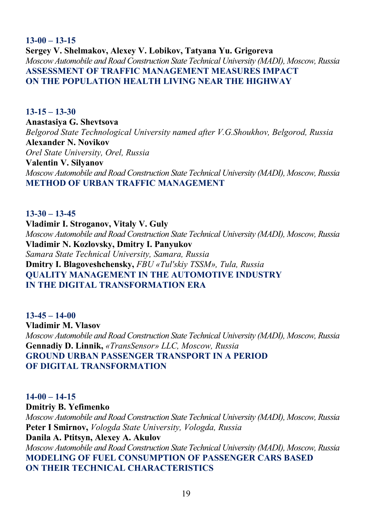# **13-00 – 13-15 Sergey V. Shelmakov, Alexey V. Lobikov, Tatyana Yu. Grigoreva**  *Moscow Automobile and Road Construction State Technical University (MADI), Moscow, Russia*  **ASSESSMENT OF TRAFFIC MANAGEMENT MEASURES IMPACT ON THE POPULATION HEALTH LIVING NEAR THE HIGHWAY**

**13-15 – 13-30 Anastasiya G. Shevtsova**  *Belgorod State Technological University named after V.G.Shoukhov, Belgorod, Russia*  **Alexander N. Novikov**  *Orel State University, Orel, Russia*  **Valentin V. Silyanov**  *Moscow Automobile and Road Construction State Technical University (MADI), Moscow, Russia*  **METHOD OF URBAN TRAFFIC MANAGEMENT** 

**13-30 – 13-45 Vladimir I. Stroganov, Vitaly V. Guly**  *Moscow Automobile and Road Construction State Technical University (MADI), Moscow, Russia*  **Vladimir N. Kozlovsky, Dmitry I. Panyukov** *Samara State Technical University, Samara, Russia*  **Dmitry I. Blagoveshchensky,** *FBU «Tul'skiy TSSM», Tula, Russia*  **QUALITY MANAGEMENT IN THE AUTOMOTIVE INDUSTRY IN THE DIGITAL TRANSFORMATION ERA** 

**13-45 – 14-00 Vladimir M. Vlasov**  *Moscow Automobile and Road Construction State Technical University (MADI), Moscow, Russia* **Gennadiy D. Linnik,** *«TransSensor» LLC, Moscow, Russia*  **GROUND URBAN PASSENGER TRANSPORT IN A PERIOD OF DIGITAL TRANSFORMATION** 

**14-00 – 14-15 Dmitriy B. Yefimenko**  *Moscow Automobile and Road Construction State Technical University (MADI), Moscow, Russia*  **Peter I Smirnov,** *Vologda State University, Vologda, Russia*  **Danila A. Ptitsyn, Alexey A. Akulov**  *Moscow Automobile and Road Construction State Technical University (MADI), Moscow, Russia*  **MODELING OF FUEL CONSUMPTION OF PASSENGER CARS BASED ON THEIR TECHNICAL CHARACTERISTICS**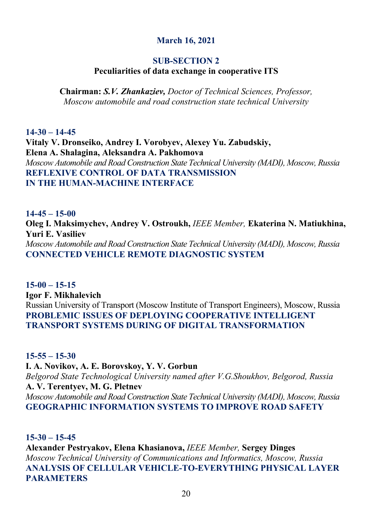# **March 16, 2021**

# **SUB-SECTION 2**

# **Peculiarities of data exchange in cooperative ITS**

**Chairman:** *S.V. Zhankaziev, Doctor of Technical Sciences, Professor, Moscow automobile and road construction state technical University* 

**14-30 – 14-45 Vitaly V. Dronseiko, Andrey I. Vorobyev, Alexey Yu. Zabudskiy, Elena A. Shalagina, Aleksandra A. Pakhomova**  *Moscow Automobile and Road Construction State Technical University (MADI), Moscow, Russia*  **REFLEXIVE CONTROL OF DATA TRANSMISSION IN THE HUMAN-MACHINE INTERFACE** 

**14-45 – 15-00 Oleg I. Maksimychev, Andrey V. Ostroukh,** *IEEE Member,* **Ekaterina N. Matiukhina, Yuri E. Vasiliev**  *Moscow Automobile and Road Construction State Technical University (MADI), Moscow, Russia* **CONNECTED VEHICLE REMOTE DIAGNOSTIC SYSTEM** 

**15-00 – 15-15 Igor F. Mikhalevich**  Russian University of Transport (Moscow Institute of Transport Engineers), Moscow, Russia **PROBLEMIC ISSUES OF DEPLOYING COOPERATIVE INTELLIGENT TRANSPORT SYSTEMS DURING OF DIGITAL TRANSFORMATION** 

**15-55 – 15-30**

**I. A. Novikov, A. E. Borovskoy, Y. V. Gorbun**  *Belgorod State Technological University named after V.G.Shoukhov, Belgorod, Russia*  **A. V. Terentyev, M. G. Pletnev**  *Moscow Automobile and Road Construction State Technical University (MADI), Moscow, Russia*  **GEOGRAPHIC INFORMATION SYSTEMS TO IMPROVE ROAD SAFETY** 

**15-30 – 15-45**

**Alexander Pestryakov, Elena Khasianova,** *IEEE Member,* **Sergey Dinges**  *Moscow Technical University of Communications and Informatics, Moscow, Russia*  **ANALYSIS OF CELLULAR VEHICLE-TO-EVERYTHING PHYSICAL LAYER PARAMETERS**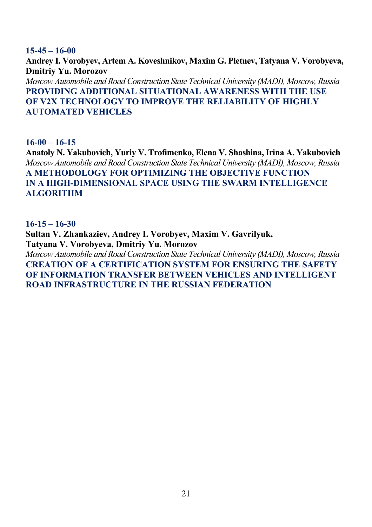#### **15-45 – 16-00**

**Andrey I. Vorobyev, Artem A. Koveshnikov, Maxim G. Pletnev, Tatyana V. Vorobyeva, Dmitriy Yu. Morozov**  *Moscow Automobile and Road Construction State Technical University (MADI), Moscow, Russia*  **PROVIDING ADDITIONAL SITUATIONAL AWARENESS WITH THE USE OF V2X TECHNOLOGY TO IMPROVE THE RELIABILITY OF HIGHLY AUTOMATED VEHICLES** 

**16-00 – 16-15**

**Anatoly N. Yakubovich, Yuriy V. Trofimenko, Elena V. Shashina, Irina A. Yakubovich**  *Moscow Automobile and Road Construction State Technical University (MADI), Moscow, Russia*  **A METHODOLOGY FOR OPTIMIZING THE OBJECTIVE FUNCTION IN A HIGH-DIMENSIONAL SPACE USING THE SWARM INTELLIGENCE ALGORITHM** 

#### **16-15 – 16-30**

**Sultan V. Zhankaziev, Andrey I. Vorobyev, Maxim V. Gavrilyuk, Tatyana V. Vorobyeva, Dmitriy Yu. Morozov**  *Moscow Automobile and Road Construction State Technical University (MADI), Moscow, Russia*  **CREATION OF A CERTIFICATION SYSTEM FOR ENSURING THE SAFETY OF INFORMATION TRANSFER BETWEEN VEHICLES AND INTELLIGENT ROAD INFRASTRUCTURE IN THE RUSSIAN FEDERATION**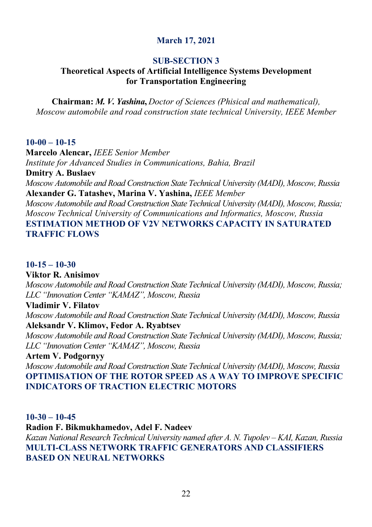# **March 17, 2021**

# **SUB-SECTION 3**

# **Theoretical Aspects of Artificial Intelligence Systems Development for Transportation Engineering**

**Chairman:** *M. V. Yashina***,** *Doctor of Sciences (Phisical and mathematical), Moscow automobile and road construction state technical University, IEEE Member* 

#### **10-00 – 10-15**

**Marcelo Alencar,** *IEEE Senior Member Institute for Advanced Studies in Communications, Bahia, Brazil* 

**Dmitry A. Buslaev** 

*Moscow Automobile and Road Construction State Technical University (MADI), Moscow, Russia*  **Alexander G. Tatashev, Marina V. Yashina,** *IEEE Member*

*Moscow Automobile and Road Construction State Technical University (MADI), Moscow, Russia; Moscow Technical University of Communications and Informatics, Moscow, Russia*  **ESTIMATION METHOD OF V2V NETWORKS CAPACITY IN SATURATED TRAFFIC FLOWS** 

### **10-15 – 10-30**

#### **Viktor R. Anisimov**

*Moscow Automobile and Road Construction State Technical University (MADI), Moscow, Russia; LLC "Innovation Center "KAMAZ", Moscow, Russia* 

#### **Vladimir V. Filatov**

*Moscow Automobile and Road Construction State Technical University (MADI), Moscow, Russia* **Aleksandr V. Klimov, Fedor A. Ryabtsev** 

*Moscow Automobile and Road Construction State Technical University (MADI), Moscow, Russia; LLC "Innovation Center "KAMAZ", Moscow, Russia* 

#### **Artem V. Podgornyy**

*Moscow Automobile and Road Construction State Technical University (MADI), Moscow, Russia*  **OPTIMISATION OF THE ROTOR SPEED AS A WAY TO IMPROVE SPECIFIC INDICATORS OF TRACTION ELECTRIC MOTORS** 

#### **10-30 – 10-45**

#### **Radion F. Bikmukhamedov, Adel F. Nadeev**

*Kazan National Research Technical University named after A. N. Tupolev – KAI, Kazan, Russia*  **MULTI-CLASS NETWORK TRAFFIC GENERATORS AND CLASSIFIERS BASED ON NEURAL NETWORKS**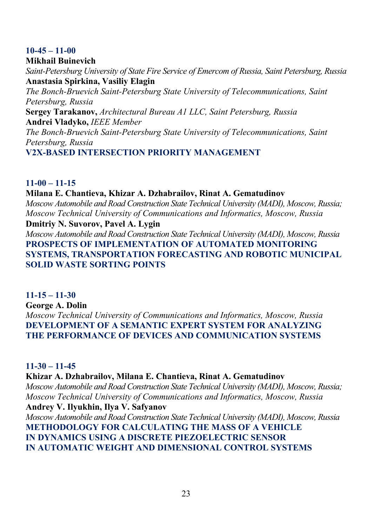# **10-45 – 11-00**

### **Mikhail Buinevich**

*Saint-Petersburg University of State Fire Service of Emercom of Russia, Saint Petersburg, Russia*  **Anastasia Spirkina, Vasiliy Elagin** 

*The Bonch-Bruevich Saint-Petersburg State University of Telecommunications, Saint Petersburg, Russia* 

**Sergey Tarakanov,** *Architectural Bureau A1 LLC, Saint Petersburg, Russia*  **Andrei Vladyko,** *IEEE Member*

*The Bonch-Bruevich Saint-Petersburg State University of Telecommunications, Saint Petersburg, Russia* 

**V2X-BASED INTERSECTION PRIORITY MANAGEMENT** 

# **11-00 – 11-15**

# **Milana E. Chantieva, Khizar A. Dzhabrailov, Rinat A. Gematudinov**

*Moscow Automobile and Road Construction State Technical University (MADI), Moscow, Russia; Moscow Technical University of Communications and Informatics, Moscow, Russia*

#### **Dmitriy N. Suvorov, Pavel A. Lygin**

*Moscow Automobile and Road Construction State Technical University (MADI), Moscow, Russia*  **PROSPECTS OF IMPLEMENTATION OF AUTOMATED MONITORING SYSTEMS, TRANSPORTATION FORECASTING AND ROBOTIC MUNICIPAL SOLID WASTE SORTING POINTS** 

# **11-15 – 11-30**

**George A. Dolin**  *Moscow Technical University of Communications and Informatics, Moscow, Russia*  **DEVELOPMENT OF A SEMANTIC EXPERT SYSTEM FOR ANALYZING THE PERFORMANCE OF DEVICES AND COMMUNICATION SYSTEMS** 

# **11-30 – 11-45**

# **Khizar A. Dzhabrailov, Milana E. Chantieva, Rinat A. Gematudinov**

*Moscow Automobile and Road Construction State Technical University (MADI), Moscow, Russia; Moscow Technical University of Communications and Informatics, Moscow, Russia* 

# **Andrey V. Ilyukhin, Ilya V. Safyanov**

*Moscow Automobile and Road Construction State Technical University (MADI), Moscow, Russia*  **METHODOLOGY FOR CALCULATING THE MASS OF A VEHICLE IN DYNAMICS USING A DISCRETE PIEZOELECTRIC SENSOR IN AUTOMATIC WEIGHT AND DIMENSIONAL CONTROL SYSTEMS**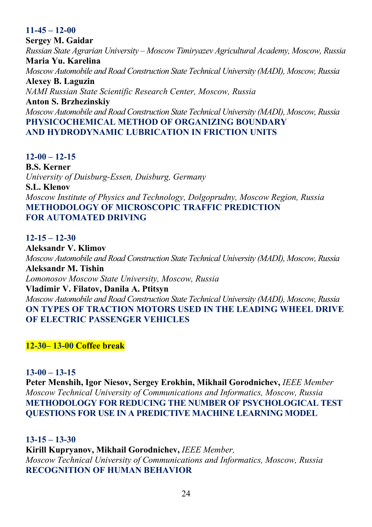# **11-45 – 12-00**

**Sergey M. Gaidar**  *Russian State Agrarian University – Moscow Timiryazev Agricultural Academy, Moscow, Russia*  **Maria Yu. Karelina**  *Moscow Automobile and Road Construction State Technical University (MADI), Moscow, Russia*  **Alexey B. Laguzin**  *NAMI Russian State Scientific Research Center, Moscow, Russia*  **Anton S. Brzhezinskiy**  *Moscow Automobile and Road Construction State Technical University (MADI), Moscow, Russia*  **PHYSICOCHEMICAL METHOD OF ORGANIZING BOUNDARY AND HYDRODYNAMIC LUBRICATION IN FRICTION UNITS** 

#### **12-00 – 12-15**

**B.S. Kerner**  *University of Duisburg-Essen, Duisburg, Germany*  **S.L. Klenov**  *Moscow Institute of Physics and Technology, Dolgoprudny, Moscow Region, Russia*  **METHODOLOGY OF MICROSCOPIC TRAFFIC PREDICTION FOR AUTOMATED DRIVING** 

# **12-15 – 12-30**

**Aleksandr V. Klimov**  *Moscow Automobile and Road Construction State Technical University (MADI), Moscow, Russia*  **Aleksandr M. Tishin**  *Lomonosov Moscow State University, Moscow, Russia*  **Vladimir V. Filatov, Danila A. Ptitsyn**  *Moscow Automobile and Road Construction State Technical University (MADI), Moscow, Russia*  **ON TYPES OF TRACTION MOTORS USED IN THE LEADING WHEEL DRIVE OF ELECTRIC PASSENGER VEHICLES** 

**12-30– 13-00 Coffee break**

#### **13-00 – 13-15**

**Peter Menshih, Igor Niesov, Sergey Erokhin, Mikhail Gorodnichev,** *IEEE Member Moscow Technical University of Communications and Informatics, Moscow, Russia*  **METHODOLOGY FOR REDUCING THE NUMBER OF PSYCHOLOGICAL TEST QUESTIONS FOR USE IN A PREDICTIVE MACHINE LEARNING MODEL** 

#### **13-15 – 13-30**

**Kirill Kupryanov, Mikhail Gorodnichev,** *IEEE Member,* *Moscow Technical University of Communications and Informatics, Moscow, Russia*  **RECOGNITION OF HUMAN BEHAVIOR**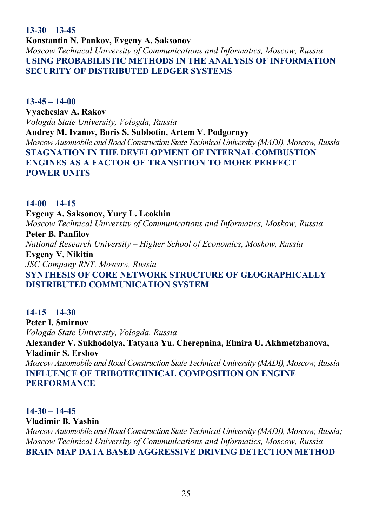**13-30 – 13-45**

**Konstantin N. Pankov, Evgeny A. Saksonov**  *Moscow Technical University of Communications and Informatics, Moscow, Russia*  **USING PROBABILISTIC METHODS IN THE ANALYSIS OF INFORMATION SECURITY OF DISTRIBUTED LEDGER SYSTEMS** 

**13-45 – 14-00 Vyacheslav A. Rakov**  *Vologda State University, Vologda, Russia*  **Andrey M. Ivanov, Boris S. Subbotin, Artem V. Podgornyy**  *Moscow Automobile and Road Construction State Technical University (MADI), Moscow, Russia*  **STAGNATION IN THE DEVELOPMENT OF INTERNAL COMBUSTION ENGINES AS A FACTOR OF TRANSITION TO MORE PERFECT POWER UNITS** 

#### **14-00 – 14-15**

**Evgeny A. Saksonov, Yury L. Leokhin**  *Moscow Technical University of Communications and Informatics, Moskow, Russia* 

**Peter B. Panfilov**  *National Research University – Higher School of Economics, Moskow, Russia*  **Evgeny V. Nikitin** 

*JSC Company RNT, Moscow, Russia*  **SYNTHESIS OF CORE NETWORK STRUCTURE OF GEOGRAPHICALLY DISTRIBUTED COMMUNICATION SYSTEM** 

# **14-15 – 14-30 Peter I. Smirnov**  *Vologda State University, Vologda, Russia*  **Alexander V. Sukhodolya, Tatyana Yu. Cherepnina, Elmira U. Akhmetzhanova, Vladimir S. Ershov**  *Moscow Automobile and Road Construction State Technical University (MADI), Moscow, Russia* **INFLUENCE OF TRIBOTECHNICAL COMPOSITION ON ENGINE PERFORMANCE**

# **14-30 – 14-45**

# **Vladimir B. Yashin**

*Moscow Automobile and Road Construction State Technical University (MADI), Moscow, Russia; Moscow Technical University of Communications and Informatics, Moscow, Russia*  **BRAIN MAP DATA BASED AGGRESSIVE DRIVING DETECTION METHOD**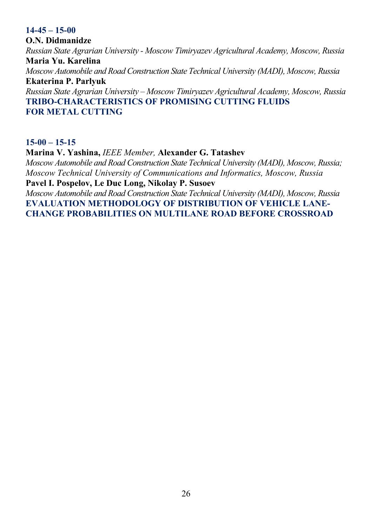#### **14-45 – 15-00**

**O.N. Didmanidze**  *Russian State Agrarian University - Moscow Timiryazev Agricultural Academy, Moscow, Russia*  **Maria Yu. Karelina**  *Moscow Automobile and Road Construction State Technical University (MADI), Moscow, Russia*  **Ekaterina P. Parlyuk**  *Russian State Agrarian University – Moscow Timiryazev Agricultural Academy, Moscow, Russia*  **TRIBO-CHARACTERISTICS OF PROMISING CUTTING FLUIDS FOR METAL CUTTING** 

**15-00 – 15-15**

**Marina V. Yashina,** *IEEE Member,* **Alexander G. Tatashev**  *Moscow Automobile and Road Construction State Technical University (MADI), Moscow, Russia; Moscow Technical University of Communications and Informatics, Moscow, Russia* **Pavel I. Pospelov, Le Duc Long, Nikolay P. Susoev** 

*Moscow Automobile and Road Construction State Technical University (MADI), Moscow, Russia*  **EVALUATION METHODOLOGY OF DISTRIBUTION OF VEHICLE LANE-CHANGE PROBABILITIES ON MULTILANE ROAD BEFORE CROSSROAD**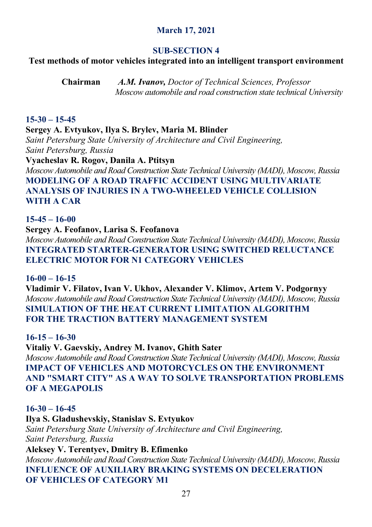# **March 17, 2021**

#### **SUB-SECTION 4**

#### **Test methods of motor vehicles integrated into an intelligent transport environment**

**Chairman** *A.M. Ivanov, Doctor of Technical Sciences, Professor Moscow automobile and road construction state technical University*

#### **15-30 – 15-45**

**Sergey A. Evtyukov, Ilya S. Brylev, Maria M. Blinder**  *Saint Petersburg State University of Architecture and Civil Engineering, Saint Petersburg, Russia*  **Vyacheslav R. Rogov, Danila A. Ptitsyn** 

*Moscow Automobile and Road Construction State Technical University (MADI), Moscow, Russia*  **MODELING OF A ROAD TRAFFIC ACCIDENT USING MULTIVARIATE ANALYSIS OF INJURIES IN A TWO-WHEELED VEHICLE COLLISION WITH A CAR** 

#### **15-45 – 16-00**

**Sergey A. Feofanov, Larisa S. Feofanova**  *Moscow Automobile and Road Construction State Technical University (MADI), Moscow, Russia*  **INTEGRATED STARTER-GENERATOR USING SWITCHED RELUCTANCE ELECTRIC MOTOR FOR N1 CATEGORY VEHICLES** 

#### **16-00 – 16-15**

**Vladimir V. Filatov, Ivan V. Ukhov, Alexander V. Klimov, Аrtem V. Podgornyy**  *Moscow Automobile and Road Construction State Technical University (MADI), Moscow, Russia*  **SIMULATION OF THE HEAT CURRENT LIMITATION ALGORITHM FOR THE TRACTION BATTERY MANAGEMENT SYSTEM** 

**16-15 – 16-30**

**Vitaliy V. Gaevskiy, Andrey M. Ivanov, Ghith Sater**  *Moscow Automobile and Road Construction State Technical University (MADI), Moscow, Russia*  **IMPACT OF VEHICLES AND MOTORCYCLES ON THE ENVIRONMENT AND "SMART CITY" AS A WAY TO SOLVE TRANSPORTATION PROBLEMS OF A MEGAPOLIS** 

# **16-30 – 16-45 Ilya S. Gladushevskiy, Stanislav S. Evtyukov**  *Saint Petersburg State University of Architecture and Civil Engineering, Saint Petersburg, Russia*  **Aleksey V. Terentyev, Dmitry B. Efimenko**  *Moscow Automobile and Road Construction State Technical University (MADI), Moscow, Russia*  **INFLUENCE OF AUXILIARY BRAKING SYSTEMS ON DECELERATION OF VEHICLES OF CATEGORY M1**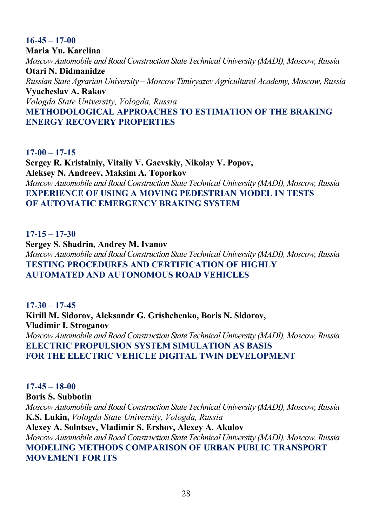#### **16-45 – 17-00 Maria Yu. Karelina**  *Moscow Automobile and Road Construction State Technical University (MADI), Moscow, Russia*  **Otari N. Didmanidze**  *Russian State Agrarian University – Moscow Timiryazev Agricultural Academy, Moscow, Russia*  **Vyacheslav A. Rakov**  *Vologda State University, Vologda, Russia*  **METHODOLOGICAL APPROACHES TO ESTIMATION OF THE BRAKING ENERGY RECOVERY PROPERTIES**

**17-00 – 17-15 Sergey R. Kristalniy, Vitaliy V. Gaevskiy, Nikolay V. Popov, Aleksey N. Andreev, Maksim A. Toporkov**  *Moscow Automobile and Road Construction State Technical University (MADI), Moscow, Russia*  **EXPERIENCE OF USING A MOVING PEDESTRIAN MODEL IN TESTS OF AUTOMATIC EMERGENCY BRAKING SYSTEM** 

**17-15 – 17-30 Sergey S. Shadrin, Andrey M. Ivanov**  *Moscow Automobile and Road Construction State Technical University (MADI), Moscow, Russia*  **TESTING PROCEDURES AND CERTIFICATION OF HIGHLY AUTOMATED AND AUTONOMOUS ROAD VEHICLES** 

**17-30 – 17-45 Kirill M. Sidorov, Aleksandr G. Grishchenko, Boris N. Sidorov, Vladimir I. Stroganov**  *Moscow Automobile and Road Construction State Technical University (MADI), Moscow, Russia*  **ELECTRIC PROPULSION SYSTEM SIMULATION AS BASIS FOR THE ELECTRIC VEHICLE DIGITAL TWIN DEVELOPMENT** 

**17-45 – 18-00 Boris S. Subbotin**  *Moscow Automobile and Road Construction State Technical University (MADI), Moscow, Russia*  **K.S. Lukin,** *Vologda State University, Vologda, Russia*  **Alexey A. Solntsev, Vladimir S. Ershov, Alexey A. Akulov**  *Moscow Automobile and Road Construction State Technical University (MADI), Moscow, Russia*  **MODELING METHODS COMPARISON OF URBAN PUBLIC TRANSPORT MOVEMENT FOR ITS**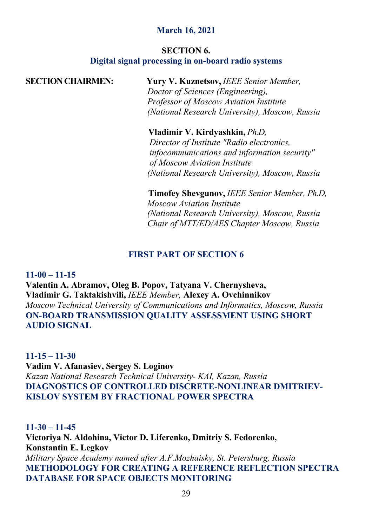# **March 16, 2021**

#### **SECTION 6.**

#### **Digital signal processing in on-board radio systems**

**SECTION CHAIRMEN: Yury V. Kuznetsov,** *IEEE Senior Member, Doctor of Sciences (Engineering), Professor of Moscow Aviation Institute (National Research University), Moscow, Russia*

> **Vladimir V. Kirdyashkin,** *Ph.D, Director of Institute "Radio electronics, infocommunications and information security" of Moscow Aviation Institute (National Research University), Moscow, Russia*

 **Timofey Shevgunov,** *IEEE Senior Member, Ph.D, Moscow Aviation Institute (National Research University), Moscow, Russia Chair of MTT/ED/AES Chapter Moscow, Russia* 

# **FIRST PART OF SECTION 6**

**11-00 – 11-15 Valentin A. Abramov, Oleg B. Popov, Tatyana V. Chernysheva, Vladimir G. Taktakishvili,** *IEEE Member,* **Alexey A. Ovchinnikov**  *Moscow Technical University of Communications and Informatics, Moscow, Russia* **ON-BOARD TRANSMISSION QUALITY ASSESSMENT USING SHORT AUDIO SIGNAL** 

**11-15 – 11-30 Vadim V. Afanasiev, Sergey S. Loginov**  *Kazan National Research Technical University- KAI, Kazan, Russia*  **DIAGNOSTICS OF CONTROLLED DISCRETE-NONLINEAR DMITRIEV-KISLOV SYSTEM BY FRACTIONAL POWER SPECTRA** 

**11-30 – 11-45 Victoriya N. Aldohina, Victor D. Liferenko, Dmitriy S. Fedorenko, Konstantin E. Legkov**  *Military Space Academy named after A.F.Mozhaisky, St. Petersburg, Russia*  **METHODOLOGY FOR CREATING A REFERENCE REFLECTION SPECTRA DATABASE FOR SPACE OBJECTS MONITORING**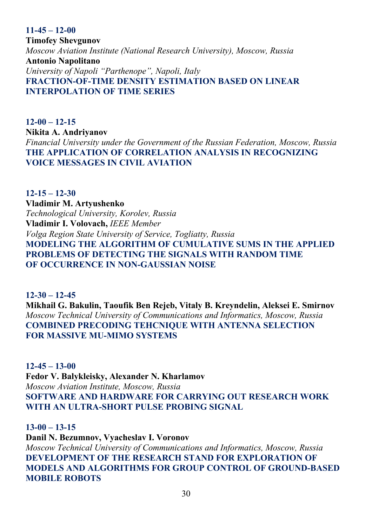**11-45 – 12-00 Timofey Shevgunov**  *Moscow Aviation Institute (National Research University), Moscow, Russia*  **Antonio Napolitano**  *University of Napoli "Parthenope", Napoli, Italy*  **FRACTION-OF-TIME DENSITY ESTIMATION BASED ON LINEAR INTERPOLATION OF TIME SERIES** 

**12-00 – 12-15 Nikita A. Andriyanov**  *Financial University under the Government of the Russian Federation, Moscow, Russia*  **THE APPLICATION OF CORRELATION ANALYSIS IN RECOGNIZING VOICE MESSAGES IN CIVIL AVIATION** 

**12-15 – 12-30 Vladimir M. Artyushenko**  *Technological University, Korolev, Russia*  **Vladimir I. Volovach,** *IEEE Member Volga Region State University of Service, Togliatty, Russia*  **MODELING THE ALGORITHM OF CUMULATIVE SUMS IN THE APPLIED PROBLEMS OF DETECTING THE SIGNALS WITH RANDOM TIME OF OCCURRENCE IN NON-GAUSSIAN NOISE** 

**12-30 – 12-45 Mikhail G. Bakulin, Taoufik Ben Rejeb, Vitaly B. Kreyndelin, Aleksei E. Smirnov**  *Moscow Technical University of Communications and Informatics, Moscow, Russia*  **COMBINED PRECODING TEHCNIQUE WITH ANTENNA SELECTION FOR MASSIVE MU-MIMO SYSTEMS** 

**12-45 – 13-00 Fedor V. Balykleisky, Alexander N. Kharlamov**  *Moscow Aviation Institute, Moscow, Russia*  **SOFTWARE AND HARDWARE FOR CARRYING OUT RESEARCH WORK WITH AN ULTRA-SHORT PULSE PROBING SIGNAL** 

**13-00 – 13-15 Danil N. Bezumnov, Vyacheslav I. Voronov**  *Moscow Technical University of Communications and Informatics, Moscow, Russia*  **DEVELOPMENT OF THE RESEARCH STAND FOR EXPLORATION OF MODELS AND ALGORITHMS FOR GROUP CONTROL OF GROUND-BASED MOBILE ROBOTS**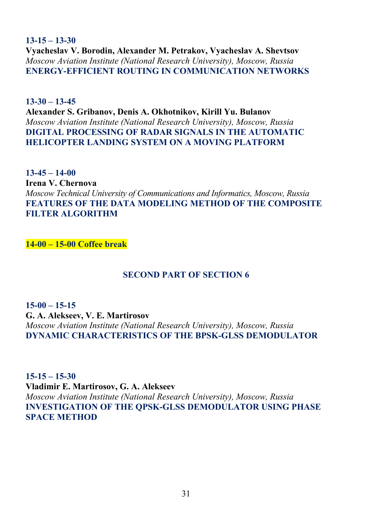**13-15 – 13-30 Vyacheslav V. Borodin, Alexander M. Petrakov, Vyacheslav A. Shevtsov**  *Moscow Aviation Institute (National Research University), Moscow, Russia*  **ENERGY-EFFICIENT ROUTING IN COMMUNICATION NETWORKS** 

**13-30 – 13-45 Alexander S. Gribanov, Denis A. Okhotnikov, Kirill Yu. Bulanov**  *Moscow Aviation Institute (National Research University), Moscow, Russia*  **DIGITAL PROCESSING OF RADAR SIGNALS IN THE AUTOMATIC HELICOPTER LANDING SYSTEM ON A MOVING PLATFORM** 

**13-45 – 14-00 Irena V. Chernova**  *Moscow Technical University of Communications and Informatics, Moscow, Russia* **FEATURES OF THE DATA MODELING METHOD OF THE COMPOSITE FILTER ALGORITHM** 

**14-00 – 15-00 Coffee break**

# **SECOND PART OF SECTION 6**

**15-00 – 15-15 G. A. Alekseev, V. E. Martirosov**  *Moscow Aviation Institute (National Research University), Moscow, Russia*  **DYNAMIC CHARACTERISTICS OF THE BPSK-GLSS DEMODULATOR** 

**15-15 – 15-30 Vladimir E. Martirosov, G. A. Alekseev**  *Moscow Aviation Institute (National Research University), Moscow, Russia*  **INVESTIGATION OF THE QPSK-GLSS DEMODULATOR USING PHASE SPACE METHOD**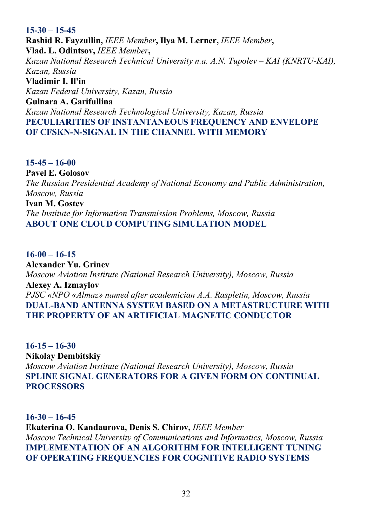# **15-30 – 15-45 Rashid R. Fayzullin,** *IEEE Member***, Ilya M. Lerner,** *IEEE Member***, Vlad. L. Odintsov,** *IEEE Member***,**  *Kazan National Research Technical University n.a. A.N. Tupolev – KAI (KNRTU-KAI), Kazan, Russia*  **Vladimir I. Il'in**  *Kazan Federal University, Kazan, Russia*  **Gulnara A. Garifullina**  *Kazan National Research Technological University, Kazan, Russia*  **PECULIARITIES OF INSTANTANEOUS FREQUENCY AND ENVELOPE OF CFSKN-N-SIGNAL IN THE CHANNEL WITH MEMORY**

**15-45 – 16-00 Pavel E. Golosov**  *The Russian Presidential Academy of National Economy and Public Administration, Moscow, Russia*  **Ivan M. Gostev**  *The Institute for Information Transmission Problems, Moscow, Russia* 

**ABOUT ONE CLOUD COMPUTING SIMULATION MODEL** 

**16-00 – 16-15 Alexander Yu. Grinev**  *Moscow Aviation Institute (National Research University), Moscow, Russia*  **Alexey A. Izmaylov**  *PJSC «NPO «Almaz» named after academician A.A. Raspletin, Moscow, Russia*  **DUAL-BAND ANTENNA SYSTEM BASED ON A METASTRUCTURE WITH THE PROPERTY OF AN ARTIFICIAL MAGNETIC CONDUCTOR** 

**16-15 – 16-30 Nikolay Dembitskiy**  *Moscow Aviation Institute (National Research University), Moscow, Russia*  **SPLINE SIGNAL GENERATORS FOR A GIVEN FORM ON CONTINUAL PROCESSORS**

#### **16-30 – 16-45**

**Ekaterina O. Kandaurova, Denis S. Chirov,** *IEEE Member Moscow Technical University of Communications and Informatics, Moscow, Russia*  **IMPLEMENTATION OF AN ALGORITHM FOR INTELLIGENT TUNING OF OPERATING FREQUENCIES FOR COGNITIVE RADIO SYSTEMS**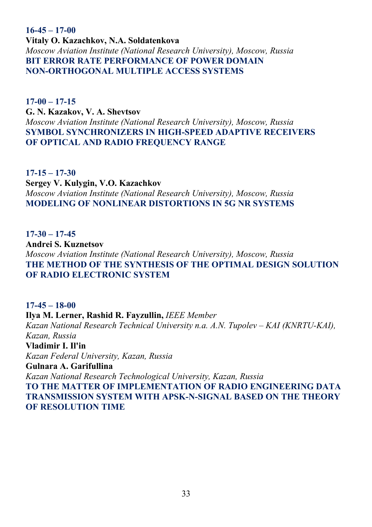**16-45 – 17-00 Vitaly O. Kazachkov, N.A. Soldatenkova**  *Moscow Aviation Institute (National Research University), Moscow, Russia*  **BIT ERROR RATE PERFORMANCE OF POWER DOMAIN NON-ORTHOGONAL MULTIPLE ACCESS SYSTEMS** 

**17-00 – 17-15 G. N. Kazakov, V. A. Shevtsov**  *Moscow Aviation Institute (National Research University), Moscow, Russia*  **SYMBOL SYNCHRONIZERS IN HIGH-SPEED ADAPTIVE RECEIVERS OF OPTICAL AND RADIO FREQUENCY RANGE** 

**17-15 – 17-30 Sergey V. Kulygin, V.O. Kazachkov**  *Moscow Aviation Institute (National Research University), Moscow, Russia*  **MODELING OF NONLINEAR DISTORTIONS IN 5G NR SYSTEMS** 

**17-30 – 17-45 Andrei S. Kuznetsov**  *Moscow Aviation Institute (National Research University), Moscow, Russia*  **THE METHOD OF THE SYNTHESIS OF THE OPTIMAL DESIGN SOLUTION OF RADIO ELECTRONIC SYSTEM** 

**17-45 – 18-00 Ilya M. Lerner, Rashid R. Fayzullin,** *IEEE Member Kazan National Research Technical University n.a. A.N. Tupolev – KAI (KNRTU-KAI), Kazan, Russia*  **Vladimir I. Il'in**  *Kazan Federal University, Kazan, Russia*  **Gulnara A. Garifullina**  *Kazan National Research Technological University, Kazan, Russia*  **TO THE MATTER OF IMPLEMENTATION OF RADIO ENGINEERING DATA TRANSMISSION SYSTEM WITH APSK-N-SIGNAL BASED ON THE THEORY OF RESOLUTION TIME**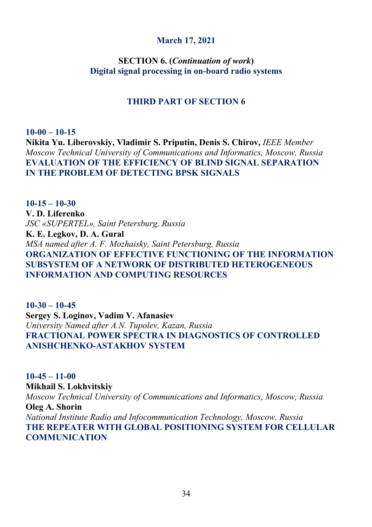# **March 17, 2021**

# **SECTION 6. (***Continuation of work***) Digital signal processing in on-board radio systems**

# **THIRD PART OF SECTION 6**

**10-00 – 10-15 Nikita Yu. Liberovskiy, Vladimir S. Priputin, Denis S. Chirov,** *IEEE Member Moscow Technical University of Communications and Informatics, Moscow, Russia* **EVALUATION OF THE EFFICIENCY OF BLIND SIGNAL SEPARATION IN THE PROBLEM OF DETECTING BPSK SIGNALS** 

**10-15 – 10-30 V. D. Liferenko**  *JSC «SUPERTEL», Saint Petersburg, Russia*  **K. E. Legkov, D. A. Gural**  *MSA named after A. F. Mozhaisky, Saint Petersburg, Russia*  **ORGANIZATION OF EFFECTIVE FUNCTIONING OF THE INFORMATION SUBSYSTEM OF A NETWORK OF DISTRIBUTED HETEROGENEOUS INFORMATION AND COMPUTING RESOURCES** 

**10-30 – 10-45 Sergey S. Loginov, Vadim V. Afanasiev**  *University Named after A.N. Tupolev, Kazan, Russia*  **FRACTIONAL POWER SPECTRA IN DIAGNOSTICS OF CONTROLLED ANISHCHENKO-ASTAKHOV SYSTEM** 

**10-45 – 11-00 Mikhail S. Lokhvitskiy**  *Moscow Technical University of Communications and Informatics, Moscow, Russia* **Oleg A. Shorin**  *National Institute Radio and Infocommunication Technology, Moscow, Russia*  **THE REPEATER WITH GLOBAL POSITIONING SYSTEM FOR CELLULAR COMMUNICATION**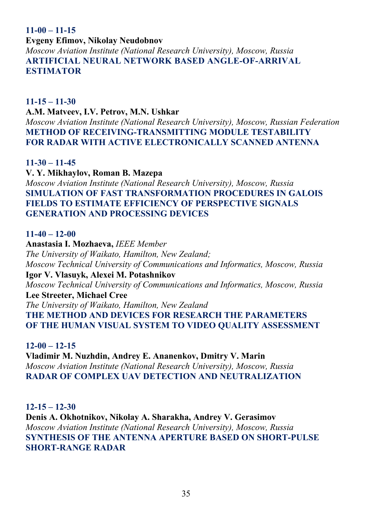# **11-00 – 11-15**

**Evgeny Efimov, Nikolay Neudobnov** 

*Moscow Aviation Institute (National Research University), Moscow, Russia*  **ARTIFICIAL NEURAL NETWORK BASED ANGLE-OF-ARRIVAL ESTIMATOR**

**11-15 – 11-30**

**A.M. Matveev, I.V. Petrov, M.N. Ushkar** 

*Moscow Aviation Institute (National Research University), Moscow, Russian Federation*  **METHOD ОF RECEIVING-TRANSMITTING MODULE TESTABILITY FOR RADAR WITH ACTIVE ELECTRONICALLY SCANNED ANTENNA** 

**11-30 – 11-45**

**V. Y. Mikhaylov, Roman B. Mazepa**  *Moscow Aviation Institute (National Research University), Moscow, Russia*  **SIMULATION OF FAST TRANSFORMATION PROCEDURES IN GALOIS FIELDS TO ESTIMATE EFFICIENCY OF PERSPECTIVE SIGNALS GENERATION AND PROCESSING DEVICES** 

# **11-40 – 12-00**

**Anastasia I. Mozhaeva,** *IEEE Member The University of Waikato, Hamilton, New Zealand; Moscow Technical University of Communications and Informatics, Moscow, Russia*  **Igor V. Vlasuyk, Alexei M. Potashnikov**  *Moscow Technical University of Communications and Informatics, Moscow, Russia*  **Lee Streeter, Michael Cree**  *The University of Waikato, Hamilton, New Zealand*  **THE METHOD AND DEVICES FOR RESEARCH THE PARAMETERS OF THE HUMAN VISUAL SYSTEM TO VIDEO QUALITY ASSESSMENT** 

**12-00 – 12-15 Vladimir M. Nuzhdin, Andrey E. Ananenkov, Dmitry V. Marin**  *Moscow Aviation Institute (National Research University), Moscow, Russia*  **RADAR OF COMPLEX UAV DETECTION AND NEUTRALIZATION** 

**12-15 – 12-30**

**Denis A. Okhotnikov, Nikolay A. Sharakha, Andrey V. Gerasimov**  *Moscow Aviation Institute (National Research University), Moscow, Russia*  **SYNTHESIS OF THE ANTENNA APERTURE BASED ON SHORT-PULSE SHORT-RANGE RADAR**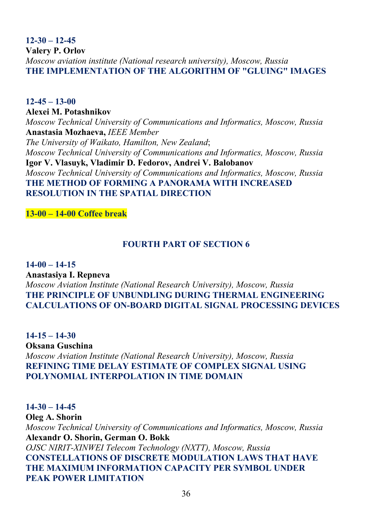**12-30 – 12-45 Valery P. Orlov**  *Moscow aviation institute (National research university), Moscow, Russia*  **THE IMPLEMENTATION OF THE ALGORITHM OF "GLUING" IMAGES** 

**12-45 – 13-00 Alexei M. Potashnikov**  *Moscow Technical University of Communications and Informatics, Moscow, Russia*  **Anastasia Mozhaeva,** *IEEE Member The University of Waikato, Hamilton, New Zealand*; *Moscow Technical University of Communications and Informatics, Moscow, Russia* **Igor V. Vlasuyk, Vladimir D. Fedorov, Andrei V. Balobanov**  *Moscow Technical University of Communications and Informatics, Moscow, Russia*  **THE METHOD OF FORMING A PANORAMA WITH INCREASED RESOLUTION IN THE SPATIAL DIRECTION** 

**13-00 – 14-00 Coffee break**

# **FOURTH PART OF SECTION 6**

**14-00 – 14-15 Anastasiya I. Repneva**  *Moscow Aviation Institute (National Research University), Moscow, Russia*  **THE PRINCIPLE OF UNBUNDLING DURING THERMAL ENGINEERING CALCULATIONS OF ON-BOARD DIGITAL SIGNAL PROCESSING DEVICES** 

**14-15 – 14-30 Oksana Guschina**  *Moscow Aviation Institute (National Research University), Moscow, Russia*  **REFINING TIME DELAY ESTIMATE OF COMPLEX SIGNAL USING POLYNOMIAL INTERPOLATION IN TIME DOMAIN**

**14-30 – 14-45 Oleg A. Shorin**  *Moscow Technical University of Communications and Informatics, Moscow, Russia*  **Alexandr O. Shorin, German O. Bokk**  *OJSC NIRIT-XINWEI Telecom Technology (NXTT), Moscow, Russia*  **CONSTELLATIONS OF DISCRETE MODULATION LAWS THAT HAVE THE MAXIMUM INFORMATION CAPACITY PER SYMBOL UNDER PEAK POWER LIMITATION**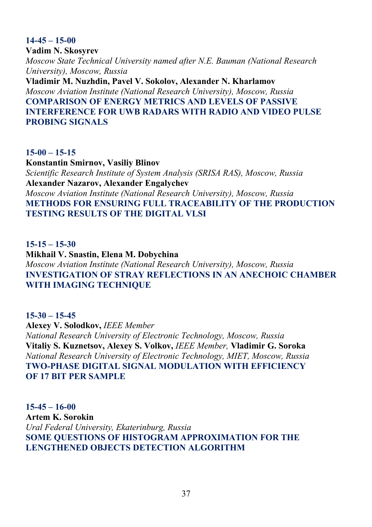#### **14-45 – 15-00**

**Vadim N. Skosyrev**  *Moscow State Technical University named after N.E. Bauman (National Research University), Moscow, Russia*  **Vladimir M. Nuzhdin, Pavel V. Sokolov, Alexander N. Kharlamov** 

*Moscow Aviation Institute (National Research University), Moscow, Russia*  **COMPARISON OF ENERGY METRICS AND LEVELS OF PASSIVE INTERFERENCE FOR UWB RADARS WITH RADIO AND VIDEO PULSE PROBING SIGNALS** 

#### **15-00 – 15-15**

**Konstantin Smirnov, Vasiliy Blinov**  *Scientific Research Institute of System Analysis (SRISA RAS), Moscow, Russia*  **Alexander Nazarov, Alexander Engalychev**  *Moscow Aviation Institute (National Research University), Moscow, Russia*  **METHODS FOR ENSURING FULL TRACEABILITY OF THE PRODUCTION TESTING RESULTS OF THE DIGITAL VLSI** 

#### **15-15 – 15-30**

**Mikhail V. Snastin, Elena M. Dobychina**  *Moscow Aviation Institute (National Research University), Moscow, Russia*  **INVESTIGATION OF STRAY REFLECTIONS IN AN ANECHOIC CHAMBER WITH IMAGING TECHNIQUE** 

#### **15-30 – 15-45**

**Alexey V. Solodkov,** *IEEE Member National Research University of Electronic Technology, Moscow, Russia*  **Vitaliy S. Kuznetsov, Alexey S. Volkov,** *IEEE Member,* **Vladimir G. Soroka**  *National Research University of Electronic Technology, MIET, Moscow, Russia*  **TWO-PHASE DIGITAL SIGNAL MODULATION WITH EFFICIENCY OF 17 BIT PER SAMPLE** 

**15-45 – 16-00 Artem K. Sorokin**  *Ural Federal University, Ekaterinburg, Russia*  **SOME QUESTIONS OF HISTOGRAM APPROXIMATION FOR THE LENGTHENED OBJECTS DETECTION ALGORITHM**